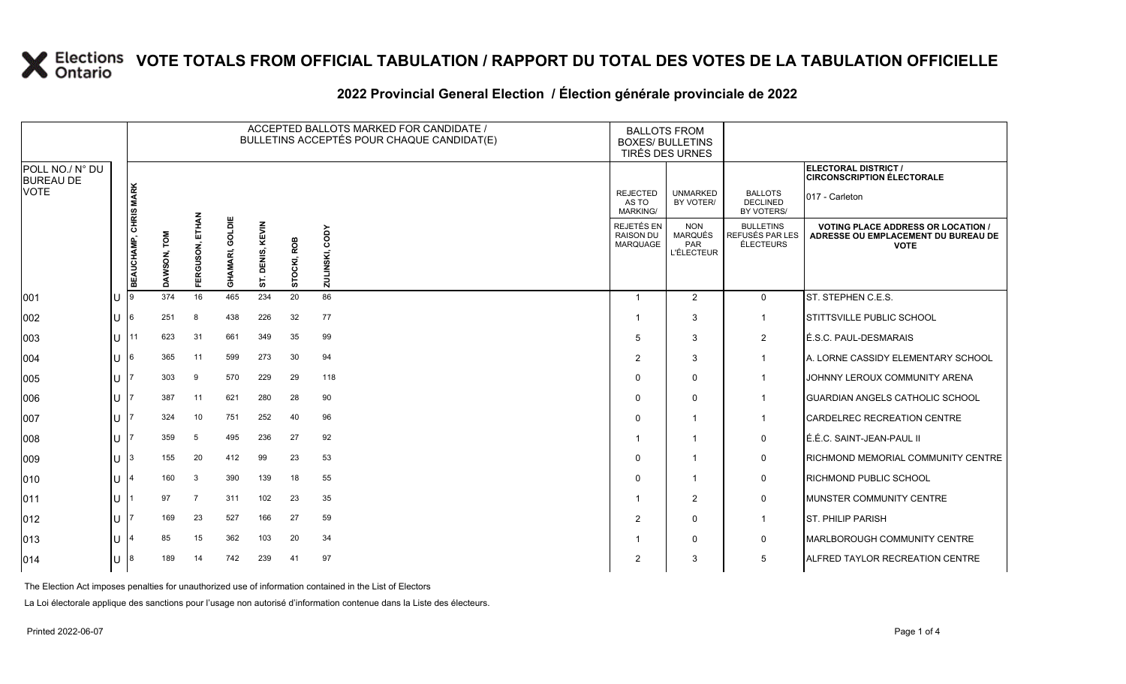### **VOTE TOTALS FROM OFFICIAL TABULATION / RAPPORT DU TOTAL DES VOTES DE LA TABULATION OFFICIELLE**

# 2022 Provincial General Election / Election générale provinciale de 2022

|                                     |    |                              |                       |                    |                    |                     |                | ACCEPTED BALLOTS MARKED FOR CANDIDATE /<br>BULLETINS ACCEPTÉS POUR CHAQUE CANDIDAT(E) | <b>BALLOTS FROM</b>                               | <b>BOXES/ BULLETINS</b><br>TIRÉS DES URNES               |                                                  |                                                                                                 |
|-------------------------------------|----|------------------------------|-----------------------|--------------------|--------------------|---------------------|----------------|---------------------------------------------------------------------------------------|---------------------------------------------------|----------------------------------------------------------|--------------------------------------------------|-------------------------------------------------------------------------------------------------|
| POLL NO./ N° DU<br><b>BUREAU DE</b> |    |                              |                       |                    |                    |                     |                |                                                                                       |                                                   |                                                          |                                                  | <b>ELECTORAL DISTRICT /</b><br><b>CIRCONSCRIPTION ÉLECTORALE</b>                                |
| <b>VOTE</b>                         |    |                              |                       |                    |                    |                     |                |                                                                                       | <b>REJECTED</b><br>AS TO<br><b>MARKING/</b>       | <b>UNMARKED</b><br>BY VOTER/                             | <b>BALLOTS</b><br><b>DECLINED</b><br>BY VOTERS/  | 017 - Carleton                                                                                  |
|                                     |    | <b>BEAUCHAMP, CHRIS MARK</b> | <b>NOL</b><br>DAWSON, | ETHAN<br>FERGUSON, | GOLDIE<br>GHAMARI, | KEVIN<br>ENIS,<br>ā | ROB<br>STOCKI, | CODY<br>INSKI,<br><b>TINZ</b>                                                         | <b>REJETÉS EN</b><br><b>RAISON DU</b><br>MARQUAGE | <b>NON</b><br><b>MARQUÉS</b><br>PAR<br><b>L'ÉLECTEUR</b> | <b>BULLETINS</b><br>REFUSÉS PAR LES<br>ÉLECTEURS | <b>VOTING PLACE ADDRESS OR LOCATION /</b><br>ADRESSE OU EMPLACEMENT DU BUREAU DE<br><b>VOTE</b> |
| 001                                 | lu |                              | 374                   | 16                 | 465                | 5<br>234            | 20             | 86                                                                                    | $\overline{1}$                                    | 2                                                        | $\mathbf 0$                                      | ST. STEPHEN C.E.S.                                                                              |
| 002                                 | Iп | 6                            | 251                   | 8                  | 438                | 226                 | 32             | 77                                                                                    |                                                   | 3                                                        | $\mathbf{1}$                                     | STITTSVILLE PUBLIC SCHOOL                                                                       |
| 003                                 | Iн | 11                           | 623                   | 31                 | 661                | 349                 | 35             | 99                                                                                    | 5                                                 | 3                                                        | $\overline{2}$                                   | É.S.C. PAUL-DESMARAIS                                                                           |
| 004                                 | ΙU |                              | 365                   | 11                 | 599                | 273                 | 30             | 94                                                                                    | 2                                                 | 3                                                        | $\overline{1}$                                   | A. LORNE CASSIDY ELEMENTARY SCHOOL                                                              |
| 005                                 | Iп |                              | 303                   | 9                  | 570                | 229                 | 29             | 118                                                                                   | $\Omega$                                          | $\mathbf{0}$                                             | -1                                               | JOHNNY LEROUX COMMUNITY ARENA                                                                   |
| 006                                 | IП |                              | 387                   | 11                 | 621                | 280                 | 28             | 90                                                                                    | $\Omega$                                          | $\Omega$                                                 | $\mathbf 1$                                      | <b>GUARDIAN ANGELS CATHOLIC SCHOOL</b>                                                          |
| 007                                 | ΙU |                              | 324                   | 10                 | 751                | 252                 | 40             | 96                                                                                    | $\Omega$                                          | $\mathbf 1$                                              | $\mathbf 1$                                      | <b>CARDELREC RECREATION CENTRE</b>                                                              |
| 008                                 | lu |                              | 359                   | 5                  | 495                | 236                 | 27             | 92                                                                                    |                                                   | $\mathbf{1}$                                             | 0                                                | É.É.C. SAINT-JEAN-PAUL II                                                                       |
| $ 009\rangle$                       | Iп |                              | 155                   | 20                 | 412                | 99                  | 23             | 53                                                                                    | $\Omega$                                          | $\mathbf{1}$                                             | 0                                                | RICHMOND MEMORIAL COMMUNITY CENTRE                                                              |
| $ 010\rangle$                       | IП |                              | 160                   | 3                  | 390                | 139                 | 18             | 55                                                                                    | $\Omega$                                          | $\mathbf 1$                                              | $\mathsf 0$                                      | <b>RICHMOND PUBLIC SCHOOL</b>                                                                   |
| 011                                 | IП |                              | 97                    | $\overline{7}$     | 311                | 102                 | 23             | 35                                                                                    |                                                   | 2                                                        | 0                                                | MUNSTER COMMUNITY CENTRE                                                                        |
| $ 012\rangle$                       | Iп |                              | 169                   | 23                 | 527                | 166                 | 27             | 59                                                                                    | $\overline{2}$                                    | $\mathbf{0}$                                             | $\mathbf{1}$                                     | <b>ST. PHILIP PARISH</b>                                                                        |
| $ 013\rangle$                       | IП |                              | 85                    | 15                 | 362                | 103                 | 20             | 34                                                                                    |                                                   | $\Omega$                                                 | 0                                                | <b>MARLBOROUGH COMMUNITY CENTRE</b>                                                             |
| $ 014\rangle$                       | lu |                              | 189                   | 14                 | 742                | 239                 | 41             | 97                                                                                    | $\overline{2}$                                    | 3                                                        | 5                                                | <b>ALFRED TAYLOR RECREATION CENTRE</b>                                                          |

The Election Act imposes penalties for unauthorized use of information contained in the List of Electors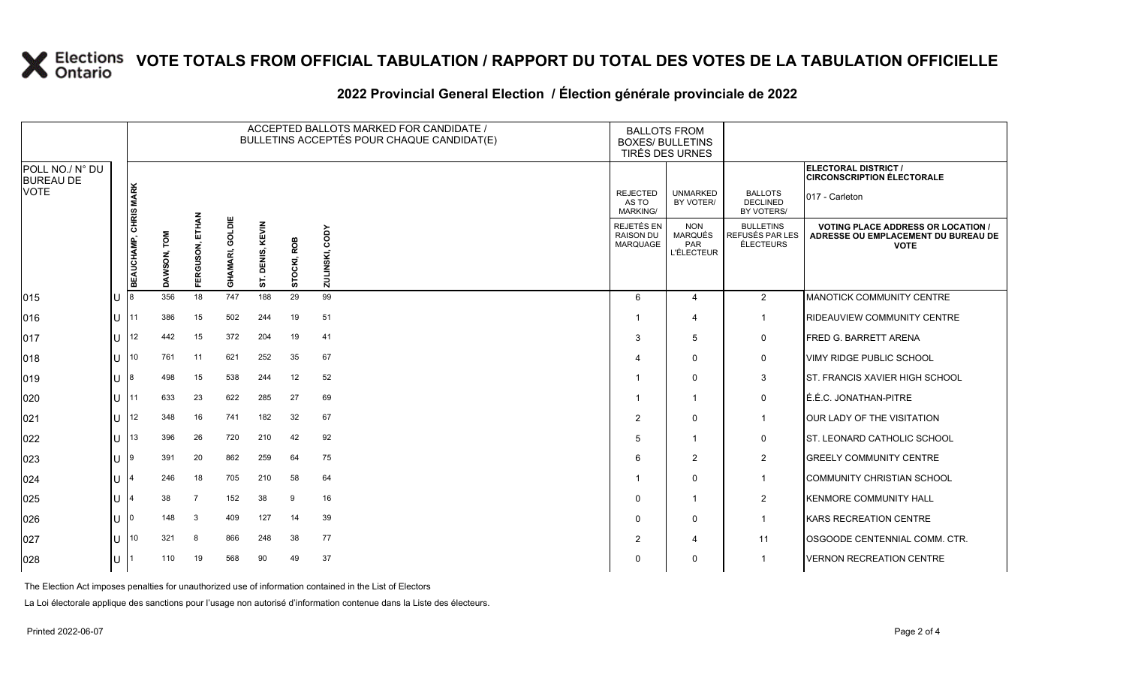## **X** Elections VOTE TOTALS FROM OFFICIAL TABULATION / RAPPORT DU TOTAL DES VOTES DE LA TABULATION OFFICIELLE

|                                     |          |                              | ACCEPTED BALLOTS MARKED FOR CANDIDATE /<br>BULLETINS ACCEPTÉS POUR CHAQUE CANDIDAT(E) |                    |                    |                     |             |                   |                                             | <b>BALLOTS FROM</b><br><b>BOXES/ BULLETINS</b><br>TIRÉS DES URNES |                                                  |                                                                                                 |
|-------------------------------------|----------|------------------------------|---------------------------------------------------------------------------------------|--------------------|--------------------|---------------------|-------------|-------------------|---------------------------------------------|-------------------------------------------------------------------|--------------------------------------------------|-------------------------------------------------------------------------------------------------|
| POLL NO./ N° DU<br><b>BUREAU DE</b> |          |                              |                                                                                       |                    |                    |                     |             |                   |                                             |                                                                   |                                                  | ELECTORAL DISTRICT /<br><b>CIRCONSCRIPTION ÉLECTORALE</b>                                       |
| <b>VOTE</b>                         |          |                              |                                                                                       |                    |                    |                     |             |                   | <b>REJECTED</b><br>AS TO<br><b>MARKING/</b> | <b>UNMARKED</b><br>BY VOTER/                                      | <b>BALLOTS</b><br><b>DECLINED</b><br>BY VOTERS/  | 017 - Carleton                                                                                  |
|                                     |          | <b>BEAUCHAMP, CHRIS MARK</b> | 힡<br>SON,<br>o                                                                        | ETHAN<br>FERGUSON, | GOLDIE<br>GHAMARI, | DENIS, KEVIN<br>57. | STOCKI, ROB | CODY<br>ZULINSKI, | REJETÉS EN<br><b>RAISON DU</b><br>MARQUAGE  | <b>NON</b><br>MARQUÉS<br>PAR<br><b>L'ÉLECTEUR</b>                 | <b>BULLETINS</b><br>REFUSÉS PAR LES<br>ÉLECTEURS | <b>VOTING PLACE ADDRESS OR LOCATION /</b><br>ADRESSE OU EMPLACEMENT DU BUREAU DE<br><b>VOTE</b> |
| 015                                 | U        | -18                          | 356                                                                                   | 18                 | 747                | 188                 | 29          | 99                | 6                                           | 4                                                                 | 2                                                | <b>MANOTICK COMMUNITY CENTRE</b>                                                                |
| 016                                 |          | $U$  11                      | 386                                                                                   | 15                 | 502                | 244                 | 19          | 51                |                                             | 4                                                                 | $\overline{1}$                                   | RIDEAUVIEW COMMUNITY CENTRE                                                                     |
| 017                                 |          | $11$ 12                      | 442                                                                                   | 15                 | 372                | 204                 | 19          | 41                | 3                                           | 5                                                                 | 0                                                | FRED G. BARRETT ARENA                                                                           |
| 018                                 | u        | $\overline{110}$             | 761                                                                                   | 11                 | 621                | 252                 | 35          | 67                |                                             | $\Omega$                                                          | 0                                                | <b>VIMY RIDGE PUBLIC SCHOOL</b>                                                                 |
| 019                                 | U        | -18                          | 498                                                                                   | 15                 | 538                | 244                 | 12          | 52                |                                             | $\mathbf 0$                                                       | 3                                                | <b>ST. FRANCIS XAVIER HIGH SCHOOL</b>                                                           |
| 020                                 |          | 111                          | 633                                                                                   | 23                 | 622                | 285                 | 27          | 69                |                                             |                                                                   | 0                                                | É.É.C. JONATHAN-PITRE                                                                           |
| 021                                 | U        | $ 12\rangle$                 | 348                                                                                   | 16                 | 741                | 182                 | 32          | 67                | $\overline{2}$                              | $\Omega$                                                          | $\overline{1}$                                   | OUR LADY OF THE VISITATION                                                                      |
| 022                                 | U        | 13                           | 396                                                                                   | 26                 | 720                | 210                 | 42          | 92                | 5                                           |                                                                   | 0                                                | ST. LEONARD CATHOLIC SCHOOL                                                                     |
| 023                                 | $U^{19}$ |                              | 391                                                                                   | 20                 | 862                | 259                 | 64          | 75                | 6                                           | $\overline{2}$                                                    | $\overline{c}$                                   | <b>GREELY COMMUNITY CENTRE</b>                                                                  |
| 024                                 | U        |                              | 246                                                                                   | 18                 | 705                | 210                 | 58          | 64                |                                             | $\Omega$                                                          | $\overline{1}$                                   | <b>COMMUNITY CHRISTIAN SCHOOL</b>                                                               |
| 025                                 | U        |                              | 38                                                                                    | $\overline{7}$     | 152                | 38                  | 9           | 16                | 0                                           |                                                                   | $\overline{2}$                                   | <b>KENMORE COMMUNITY HALL</b>                                                                   |
| 026                                 | u        | -10                          | 148                                                                                   | 3                  | 409                | 127                 | 14          | 39                | 0                                           | $\Omega$                                                          | $\mathbf 1$                                      | <b>KARS RECREATION CENTRE</b>                                                                   |
| 027                                 |          | $\mathbf{U}$   10            | 321                                                                                   | 8                  | 866                | 248                 | 38          | 77                | 2                                           | 4                                                                 | 11                                               | OSGOODE CENTENNIAL COMM. CTR.                                                                   |
| 028                                 | U $11$   |                              | 110                                                                                   | 19                 | 568                | 90                  | 49          | 37                | $\Omega$                                    | $\Omega$                                                          | $\overline{1}$                                   | <b>VERNON RECREATION CENTRE</b>                                                                 |

#### **2022 Provincial General Election / Élection générale provinciale de 2022**

The Election Act imposes penalties for unauthorized use of information contained in the List of Electors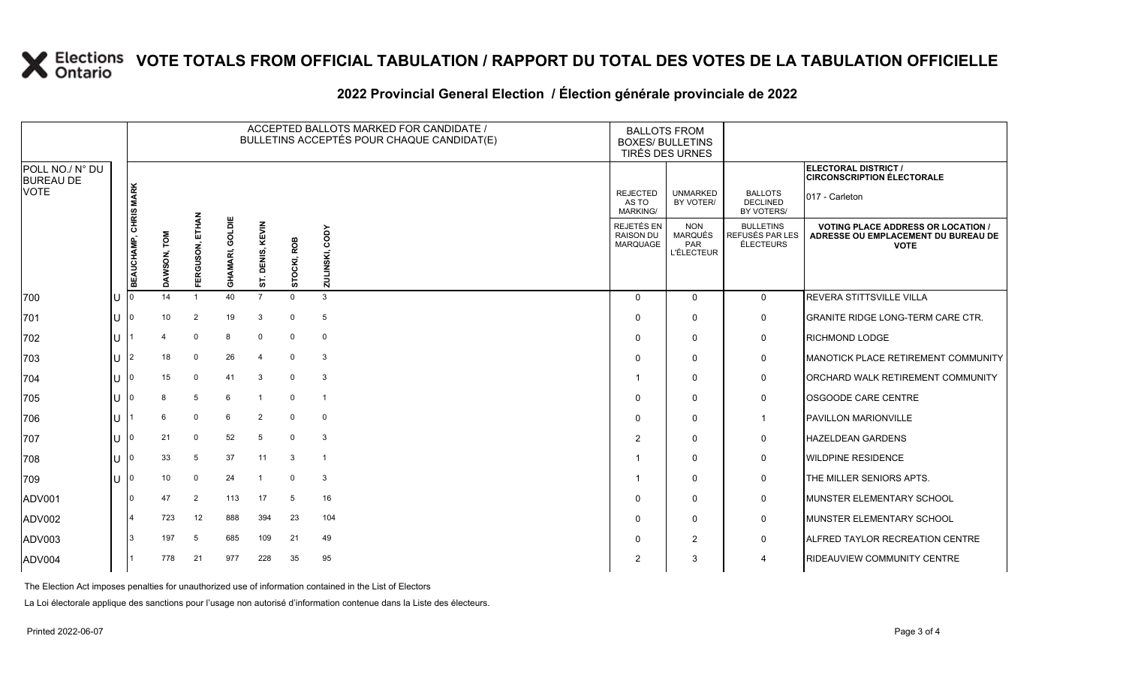## **X** Elections VOTE TOTALS FROM OFFICIAL TABULATION / RAPPORT DU TOTAL DES VOTES DE LA TABULATION OFFICIELLE

#### **2022 Provincial General Election / Élection générale provinciale de 2022**

|                                     |              |                              | ACCEPTED BALLOTS MARKED FOR CANDIDATE /<br>BULLETINS ACCEPTÉS POUR CHAQUE CANDIDAT(E) |                    |                    |                          |             |                   |                                            | <b>BALLOTS FROM</b><br><b>BOXES/ BULLETINS</b><br>TIRÉS DES URNES |                                                         |                                                                                                 |
|-------------------------------------|--------------|------------------------------|---------------------------------------------------------------------------------------|--------------------|--------------------|--------------------------|-------------|-------------------|--------------------------------------------|-------------------------------------------------------------------|---------------------------------------------------------|-------------------------------------------------------------------------------------------------|
| POLL NO./ N° DU<br><b>BUREAU DE</b> |              |                              |                                                                                       |                    |                    |                          |             |                   |                                            |                                                                   |                                                         | ELECTORAL DISTRICT /<br><b>CIRCONSCRIPTION ÉLECTORALE</b>                                       |
| <b>VOTE</b>                         |              |                              |                                                                                       |                    |                    |                          |             |                   | <b>REJECTED</b><br>AS TO<br>MARKING/       | <b>UNMARKED</b><br>BY VOTER/                                      | <b>BALLOTS</b><br><b>DECLINED</b><br>BY VOTERS/         | 017 - Carleton                                                                                  |
|                                     |              | <b>BEAUCHAMP, CHRIS MARK</b> | DAWSON, TOM                                                                           | ETHAN<br>FERGUSON, | GOLDIE<br>GHAMARI, | KEVIN<br>DENIS,          | STOCKI, ROB | CODY<br>ZULINSKI, | REJETÉS EN<br><b>RAISON DU</b><br>MARQUAGE | <b>NON</b><br>MARQUÉS<br>PAR<br><b>L'ÉLECTEUR</b>                 | <b>BULLETINS</b><br>REFUSÉS PAR LES<br><b>ÉLECTEURS</b> | <b>VOTING PLACE ADDRESS OR LOCATION /</b><br>ADRESSE OU EMPLACEMENT DU BUREAU DE<br><b>VOTE</b> |
| 700                                 | U            |                              | 14                                                                                    | $\overline{1}$     | 40                 | ဖာ<br>$\overline{7}$     | $\Omega$    | 3                 | $\Omega$                                   | $\Omega$                                                          | $\mathbf 0$                                             | <b>REVERA STITTSVILLE VILLA</b>                                                                 |
| 701                                 | U            | $\mathbf 0$                  | 10                                                                                    | 2                  | 19                 | 3                        | $\mathbf 0$ | 5                 | $\Omega$                                   | $\Omega$                                                          | 0                                                       | <b>GRANITE RIDGE LONG-TERM CARE CTR.</b>                                                        |
| 702                                 | U            |                              |                                                                                       | $\Omega$           | 8                  | $\mathbf 0$              | $\mathbf 0$ | $\mathbf 0$       | $\Omega$                                   | $\Omega$                                                          | 0                                                       | <b>RICHMOND LODGE</b>                                                                           |
| 703                                 | ΠT           | 2                            | 18                                                                                    | $\mathbf 0$        | 26                 | $\boldsymbol{\varDelta}$ | $\Omega$    | 3                 | $\Omega$                                   | $\Omega$                                                          | 0                                                       | MANOTICK PLACE RETIREMENT COMMUNITY                                                             |
| 704                                 | ΠL           | 0                            | 15                                                                                    | $\mathbf 0$        | 41                 | 3                        | $\mathbf 0$ | 3                 |                                            | $\Omega$                                                          | 0                                                       | ORCHARD WALK RETIREMENT COMMUNITY                                                               |
| 705                                 | ΠT           |                              |                                                                                       | 5                  | 6                  |                          | $\Omega$    | $\mathbf{1}$      | $\Omega$                                   | $\Omega$                                                          | 0                                                       | OSGOODE CARE CENTRE                                                                             |
| 706                                 | ΠT           |                              | 6                                                                                     | $\mathbf 0$        | 6                  | $\overline{2}$           | $\Omega$    | $\mathbf 0$       | $\Omega$                                   | $\mathbf 0$                                                       | $\mathbf 1$                                             | <b>PAVILLON MARIONVILLE</b>                                                                     |
| 707                                 | U            | 0                            | 21                                                                                    | $\mathbf 0$        | 52                 | 5                        | $\mathbf 0$ | 3                 | 2                                          | $\Omega$                                                          | 0                                                       | <b>HAZELDEAN GARDENS</b>                                                                        |
| 708                                 | U            | U                            | 33                                                                                    | 5                  | 37                 | 11                       | 3           | $\overline{1}$    |                                            | $\Omega$                                                          | 0                                                       | <b>WILDPINE RESIDENCE</b>                                                                       |
| 709                                 | $\mathbf{U}$ |                              | 10                                                                                    | $\mathbf 0$        | 24                 | $\overline{1}$           | $\Omega$    | 3                 |                                            | $\Omega$                                                          | $\mathbf 0$                                             | THE MILLER SENIORS APTS.                                                                        |
| <b>ADV001</b>                       |              |                              | 47                                                                                    | 2                  | 113                | 17                       | 5           | 16                | $\Omega$                                   | $\Omega$                                                          | 0                                                       | MUNSTER ELEMENTARY SCHOOL                                                                       |
| ADV002                              |              |                              | 723                                                                                   | 12                 | 888                | 394                      | 23          | 104               | $\Omega$                                   | 0                                                                 | 0                                                       | MUNSTER ELEMENTARY SCHOOL                                                                       |
| ADV003                              |              | 3                            | 197                                                                                   | 5                  | 685                | 109                      | 21          | 49                | $\Omega$                                   | $\overline{2}$                                                    | 0                                                       | ALFRED TAYLOR RECREATION CENTRE                                                                 |
| ADV004                              |              |                              | 778                                                                                   | 21                 | 977                | 228                      | 35          | 95                | 2                                          | 3                                                                 | 4                                                       | RIDEAUVIEW COMMUNITY CENTRE                                                                     |

The Election Act imposes penalties for unauthorized use of information contained in the List of Electors